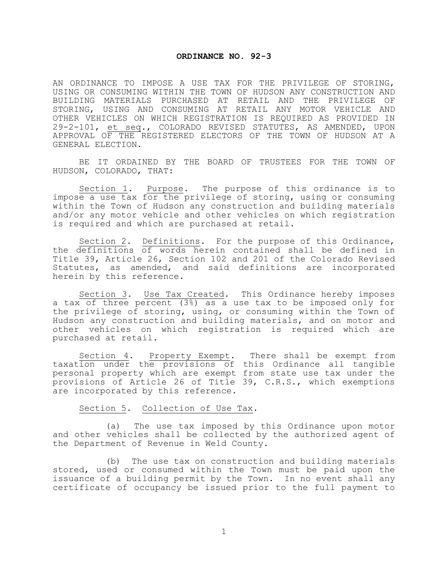## **ORDINANCE NO. 92-3**

AN ORDINANCE TO IMPOSE A USE TAX FOR THE PRIVILEGE OF STORING, USING OR CONSUMING WITHIN THE TOWN OF HUDSON ANY CONSTRUCTION AND BUILDING MATERIALS PURCHASED AT RETAIL AND THE PRIVILEGE OF STORING, USING AND CONSUMING AT RETAIL ANY MOTOR VEHICLE AND OTHER VEHICLES ON WHICH REGISTRATION IS REQUIRED AS PROVIDED IN 29-2-101, et seq., COLORADO REVISED STATUTES, AS AMENDED, UPON APPROVAL OF THE REGISTERED ELECTORS OF THE TOWN OF HUDSON AT A GENERAL ELECTION.

BE IT ORDAINED BY THE BOARD OF TRUSTEES FOR THE TOWN OF HUDSON, COLORADO, THAT:

Section 1. Purpose. The purpose of this ordinance is to impose a use tax for the privilege of storing, using or consuming within the Town of Hudson any construction and building materials and/or any motor vehicle and other vehicles on which registration is required and which are purchased at retail.

Section 2. Definitions. For the purpose of this Ordinance, the definitions of words herein contained shall be defined in Title 39, Article 26, Section 102 and 201 of the Colorado Revised Statutes, as amended, and said definitions are incorporated herein by this reference.

Section 3. Use Tax Created. This Ordinance hereby imposes a tax of three percent (3%) as a use tax to be imposed only for the privilege of storing, using, or consuming within the Town of Hudson any construction and building materials, and on motor and other vehicles on which registration is required which are purchased at retail.

Section 4. Property Exempt. There shall be exempt from taxation under the provisions of this Ordinance all tangible personal property which are exempt from state use tax under the provisions of Article 26 of Title 39, C.R.S., which exemptions are incorporated by this reference.

## Section 5. Collection of Use Tax.

(a) The use tax imposed by this Ordinance upon motor and other vehicles shall be collected by the authorized agent of the Department of Revenue in Weld County.

(b) The use tax on construction and building materials stored, used or consumed within the Town must be paid upon the issuance of a building permit by the Town. In no event shall any certificate of occupancy be issued prior to the full payment to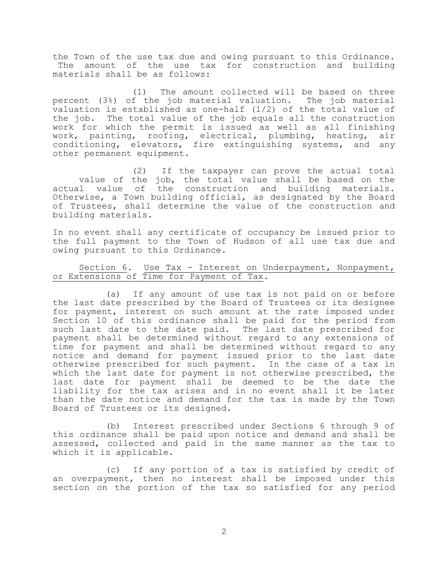the Town of the use tax due and owing pursuant to this Ordinance. The amount of the use tax for construction and building materials shall be as follows:

(1) The amount collected will be based on three percent (3%) of the job material valuation. The job material valuation is established as one-half (1/2) of the total value of the job. The total value of the job equals all the construction work for which the permit is issued as well as all finishing work, painting, roofing, electrical, plumbing, heating, air conditioning, elevators, fire extinguishing systems, and any other permanent equipment.

(2) If the taxpayer can prove the actual total value of the job, the total value shall be based on the actual value of the construction and building materials. Otherwise, a Town building official, as designated by the Board of Trustees, shall determine the value of the construction and building materials.

In no event shall any certificate of occupancy be issued prior to the full payment to the Town of Hudson of all use tax due and owing pursuant to this Ordinance.

## Section 6. Use Tax - Interest on Underpayment, Nonpayment, or Extensions of Time for Payment of Tax.

(a) If any amount of use tax is not paid on or before the last date prescribed by the Board of Trustees or its designee for payment, interest on such amount at the rate imposed under Section 10 of this ordinance shall be paid for the period from such last date to the date paid. The last date prescribed for payment shall be determined without regard to any extensions of time for payment and shall be determined without regard to any notice and demand for payment issued prior to the last date otherwise prescribed for such payment. In the case of a tax in which the last date for payment is not otherwise prescribed, the last date for payment shall be deemed to be the date the liability for the tax arises and in no event shall it be later than the date notice and demand for the tax is made by the Town Board of Trustees or its designed.

(b) Interest prescribed under Sections 6 through 9 of this ordinance shall be paid upon notice and demand and shall be assessed, collected and paid in the same manner as the tax to which it is applicable.

(c) If any portion of a tax is satisfied by credit of an overpayment, then no interest shall be imposed under this section on the portion of the tax so satisfied for any period

2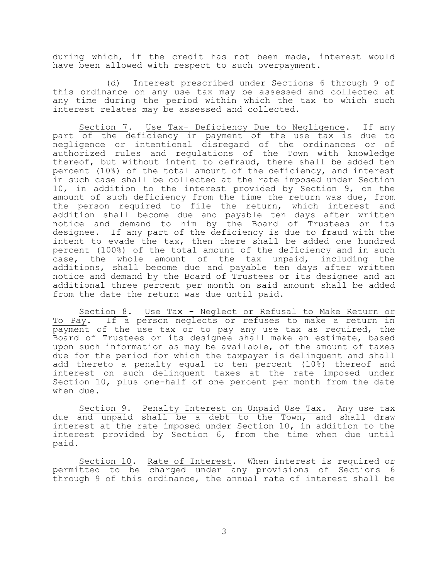during which, if the credit has not been made, interest would have been allowed with respect to such overpayment.

(d) Interest prescribed under Sections 6 through 9 of this ordinance on any use tax may be assessed and collected at any time during the period within which the tax to which such interest relates may be assessed and collected.

Section 7. Use Tax- Deficiency Due to Negligence. If any part of the deficiency in payment of the use tax is due to negligence or intentional disregard of the ordinances or of authorized rules and regulations of the Town with knowledge thereof, but without intent to defraud, there shall be added ten percent (10%) of the total amount of the deficiency, and interest in such case shall be collected at the rate imposed under Section 10, in addition to the interest provided by Section 9, on the amount of such deficiency from the time the return was due, from the person required to file the return, which interest and addition shall become due and payable ten days after written notice and demand to him by the Board of Trustees or its designee. If any part of the deficiency is due to fraud with the intent to evade the tax, then there shall be added one hundred percent (100%) of the total amount of the deficiency and in such case, the whole amount of the tax unpaid, including the additions, shall become due and payable ten days after written notice and demand by the Board of Trustees or its designee and an additional three percent per month on said amount shall be added from the date the return was due until paid.

Section 8. Use Tax - Neglect or Refusal to Make Return or To Pay. If a person neglects or refuses to make a return in payment of the use tax or to pay any use tax as required, the Board of Trustees or its designee shall make an estimate, based upon such information as may be available, of the amount of taxes due for the period for which the taxpayer is delinquent and shall add thereto a penalty equal to ten percent (10%) thereof and interest on such delinquent taxes at the rate imposed under Section 10, plus one-half of one percent per month from the date when due.

Section 9. Penalty Interest on Unpaid Use Tax. Any use tax due and unpaid shall be a debt to the Town, and shall draw interest at the rate imposed under Section 10, in addition to the interest provided by Section 6, from the time when due until paid.

Section 10. Rate of Interest. When interest is required or permitted to be charged under any provisions of Sections 6 through 9 of this ordinance, the annual rate of interest shall be

3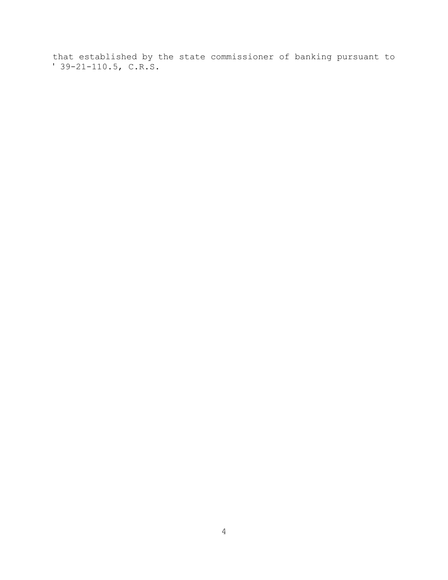that established by the state commissioner of banking pursuant to ' 39-21-110.5, C.R.S.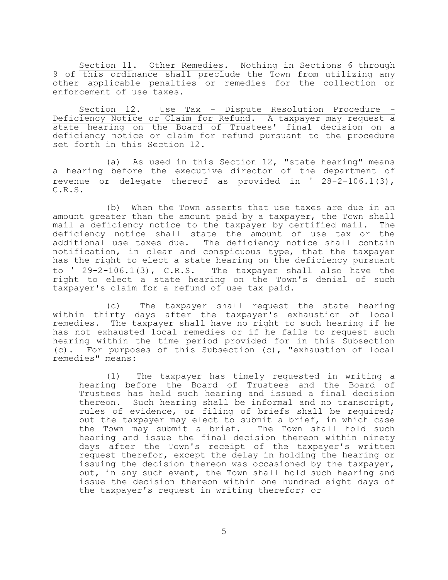Section 11. Other Remedies. Nothing in Sections 6 through 9 of this ordinance shall preclude the Town from utilizing any other applicable penalties or remedies for the collection or enforcement of use taxes.

Section 12. Use Tax - Dispute Resolution Procedure - Deficiency Notice or Claim for Refund. A taxpayer may request a state hearing on the Board of Trustees' final decision on a deficiency notice or claim for refund pursuant to the procedure set forth in this Section 12.

(a) As used in this Section 12, "state hearing" means a hearing before the executive director of the department of revenue or delegate thereof as provided in ' 28-2-106.1(3), C.R.S.

(b) When the Town asserts that use taxes are due in an amount greater than the amount paid by a taxpayer, the Town shall mail a deficiency notice to the taxpayer by certified mail. The deficiency notice shall state the amount of use tax or the additional use taxes due. The deficiency notice shall contain notification, in clear and conspicuous type, that the taxpayer has the right to elect a state hearing on the deficiency pursuant to ' 29-2-106.1(3), C.R.S. The taxpayer shall also have the right to elect a state hearing on the Town's denial of such taxpayer's claim for a refund of use tax paid.

(c) The taxpayer shall request the state hearing within thirty days after the taxpayer's exhaustion of local remedies. The taxpayer shall have no right to such hearing if he has not exhausted local remedies or if he fails to request such hearing within the time period provided for in this Subsection (c). For purposes of this Subsection (c), "exhaustion of local remedies" means:

(1) The taxpayer has timely requested in writing a hearing before the Board of Trustees and the Board of Trustees has held such hearing and issued a final decision thereon. Such hearing shall be informal and no transcript, rules of evidence, or filing of briefs shall be required; but the taxpayer may elect to submit a brief, in which case<br>the Town may submit a brief. The Town shall hold such the Town may submit a brief. hearing and issue the final decision thereon within ninety days after the Town's receipt of the taxpayer's written request therefor, except the delay in holding the hearing or issuing the decision thereon was occasioned by the taxpayer, but, in any such event, the Town shall hold such hearing and issue the decision thereon within one hundred eight days of the taxpayer's request in writing therefor; or

5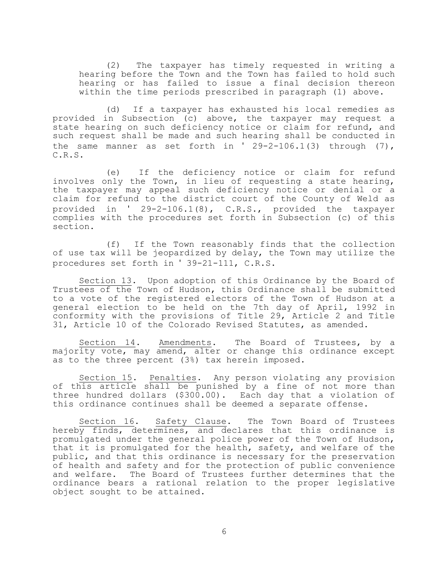(2) The taxpayer has timely requested in writing a hearing before the Town and the Town has failed to hold such hearing or has failed to issue a final decision thereon within the time periods prescribed in paragraph (1) above.

(d) If a taxpayer has exhausted his local remedies as provided in Subsection (c) above, the taxpayer may request a state hearing on such deficiency notice or claim for refund, and such request shall be made and such hearing shall be conducted in the same manner as set forth in  $'$  29-2-106.1(3) through (7), C.R.S.

(e) If the deficiency notice or claim for refund involves only the Town, in lieu of requesting a state hearing, the taxpayer may appeal such deficiency notice or denial or a claim for refund to the district court of the County of Weld as provided in ' 29-2-106.1(8), C.R.S., provided the taxpayer complies with the procedures set forth in Subsection (c) of this section.

(f) If the Town reasonably finds that the collection of use tax will be jeopardized by delay, the Town may utilize the procedures set forth in ' 39-21-111, C.R.S.

Section 13. Upon adoption of this Ordinance by the Board of Trustees of the Town of Hudson, this Ordinance shall be submitted to a vote of the registered electors of the Town of Hudson at a general election to be held on the 7th day of April, 1992 in conformity with the provisions of Title 29, Article 2 and Title 31, Article 10 of the Colorado Revised Statutes, as amended.

Section 14. Amendments. The Board of Trustees, by a majority vote, may amend, alter or change this ordinance except as to the three percent (3%) tax herein imposed.

Section 15. Penalties. Any person violating any provision of this article shall be punished by a fine of not more than three hundred dollars (\$300.00). Each day that a violation of this ordinance continues shall be deemed a separate offense.

Section 16. Safety Clause. The Town Board of Trustees hereby finds, determines, and declares that this ordinance is promulgated under the general police power of the Town of Hudson, that it is promulgated for the health, safety, and welfare of the public, and that this ordinance is necessary for the preservation of health and safety and for the protection of public convenience and welfare. The Board of Trustees further determines that the ordinance bears a rational relation to the proper legislative object sought to be attained.